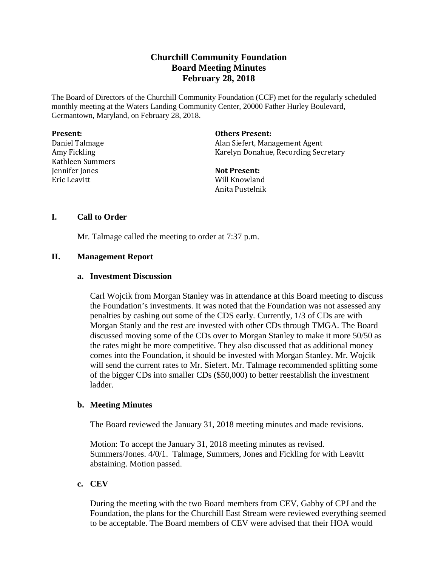# **Churchill Community Foundation Board Meeting Minutes February 28, 2018**

The Board of Directors of the Churchill Community Foundation (CCF) met for the regularly scheduled monthly meeting at the Waters Landing Community Center, 20000 Father Hurley Boulevard, Germantown, Maryland, on February 28, 2018.

| Present:         | <b>Others Present:</b>               |
|------------------|--------------------------------------|
| Daniel Talmage   | Alan Siefert, Management Agent       |
| Amy Fickling     | Karelyn Donahue, Recording Secretary |
| Kathleen Summers |                                      |
| Jennifer Jones   | <b>Not Present:</b>                  |
| Eric Leavitt     | Will Knowland                        |
|                  | Anita Pustelnik                      |

### **I. Call to Order**

Mr. Talmage called the meeting to order at 7:37 p.m.

## **II. Management Report**

### **a. Investment Discussion**

Carl Wojcik from Morgan Stanley was in attendance at this Board meeting to discuss the Foundation's investments. It was noted that the Foundation was not assessed any penalties by cashing out some of the CDS early. Currently, 1/3 of CDs are with Morgan Stanly and the rest are invested with other CDs through TMGA. The Board discussed moving some of the CDs over to Morgan Stanley to make it more 50/50 as the rates might be more competitive. They also discussed that as additional money comes into the Foundation, it should be invested with Morgan Stanley. Mr. Wojcik will send the current rates to Mr. Siefert. Mr. Talmage recommended splitting some of the bigger CDs into smaller CDs (\$50,000) to better reestablish the investment ladder.

### **b. Meeting Minutes**

The Board reviewed the January 31, 2018 meeting minutes and made revisions.

Motion: To accept the January 31, 2018 meeting minutes as revised. Summers/Jones. 4/0/1. Talmage, Summers, Jones and Fickling for with Leavitt abstaining. Motion passed.

### **c. CEV**

During the meeting with the two Board members from CEV, Gabby of CPJ and the Foundation, the plans for the Churchill East Stream were reviewed everything seemed to be acceptable. The Board members of CEV were advised that their HOA would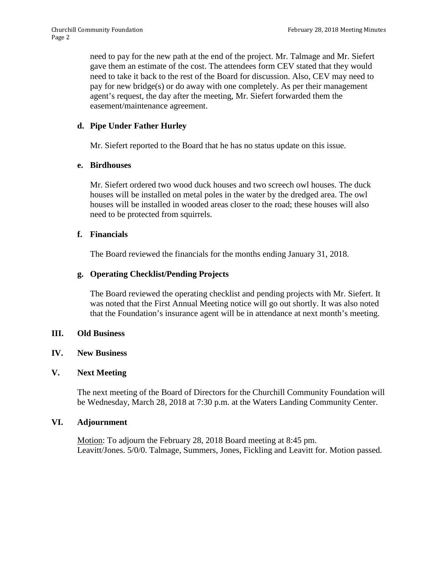need to pay for the new path at the end of the project. Mr. Talmage and Mr. Siefert gave them an estimate of the cost. The attendees form CEV stated that they would need to take it back to the rest of the Board for discussion. Also, CEV may need to pay for new bridge(s) or do away with one completely. As per their management agent's request, the day after the meeting, Mr. Siefert forwarded them the easement/maintenance agreement.

## **d. Pipe Under Father Hurley**

Mr. Siefert reported to the Board that he has no status update on this issue.

### **e. Birdhouses**

Mr. Siefert ordered two wood duck houses and two screech owl houses. The duck houses will be installed on metal poles in the water by the dredged area. The owl houses will be installed in wooded areas closer to the road; these houses will also need to be protected from squirrels.

#### **f. Financials**

The Board reviewed the financials for the months ending January 31, 2018.

### **g. Operating Checklist/Pending Projects**

The Board reviewed the operating checklist and pending projects with Mr. Siefert. It was noted that the First Annual Meeting notice will go out shortly. It was also noted that the Foundation's insurance agent will be in attendance at next month's meeting.

#### **III. Old Business**

#### **IV. New Business**

### **V. Next Meeting**

The next meeting of the Board of Directors for the Churchill Community Foundation will be Wednesday, March 28, 2018 at 7:30 p.m. at the Waters Landing Community Center.

#### **VI. Adjournment**

Motion: To adjourn the February 28, 2018 Board meeting at 8:45 pm. Leavitt/Jones. 5/0/0. Talmage, Summers, Jones, Fickling and Leavitt for. Motion passed.